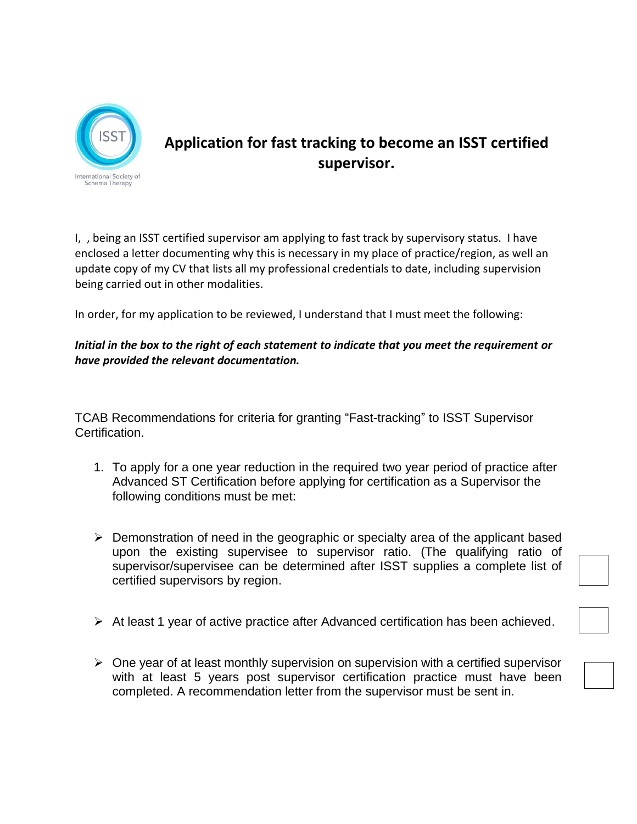

## **Application for fast tracking to become an ISST certified supervisor.**

I, , being an ISST certified supervisor am applying to fast track by supervisory status. I have enclosed a letter documenting why this is necessary in my place of practice/region, as well an update copy of my CV that lists all my professional credentials to date, including supervision being carried out in other modalities.

In order, for my application to be reviewed, I understand that I must meet the following:

*Initial in the box to the right of each statement to indicate that you meet the requirement or have provided the relevant documentation.* 

TCAB Recommendations for criteria for granting "Fast-tracking" to ISST Supervisor Certification.

- 1. To apply for a one year reduction in the required two year period of practice after Advanced ST Certification before applying for certification as a Supervisor the following conditions must be met:
- ➢ Demonstration of need in the geographic or specialty area of the applicant based upon the existing supervisee to supervisor ratio. (The qualifying ratio of supervisor/supervisee can be determined after ISST supplies a complete list of certified supervisors by region.
- ➢ At least 1 year of active practice after Advanced certification has been achieved.
- $\triangleright$  One year of at least monthly supervision on supervision with a certified supervisor with at least 5 years post supervisor certification practice must have been completed. A recommendation letter from the supervisor must be sent in.